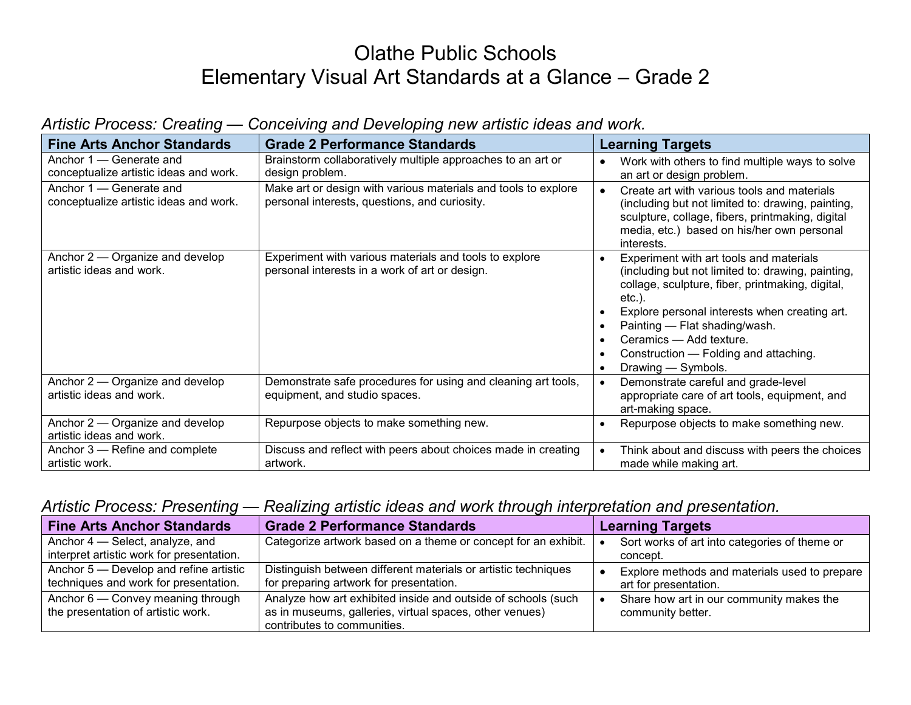# Olathe Public Schools Elementary Visual Art Standards at a Glance – Grade 2

| <b>Fine Arts Anchor Standards</b>                                 | <b>Grade 2 Performance Standards</b>                                                                            | <b>Learning Targets</b>                                                                                                                                                                                                                                                                                                                                |
|-------------------------------------------------------------------|-----------------------------------------------------------------------------------------------------------------|--------------------------------------------------------------------------------------------------------------------------------------------------------------------------------------------------------------------------------------------------------------------------------------------------------------------------------------------------------|
| Anchor 1 – Generate and<br>conceptualize artistic ideas and work. | Brainstorm collaboratively multiple approaches to an art or<br>design problem.                                  | Work with others to find multiple ways to solve<br>an art or design problem.                                                                                                                                                                                                                                                                           |
| Anchor 1 – Generate and<br>conceptualize artistic ideas and work. | Make art or design with various materials and tools to explore<br>personal interests, questions, and curiosity. | Create art with various tools and materials<br>(including but not limited to: drawing, painting,<br>sculpture, collage, fibers, printmaking, digital<br>media, etc.) based on his/her own personal<br>interests.                                                                                                                                       |
| Anchor 2 – Organize and develop<br>artistic ideas and work.       | Experiment with various materials and tools to explore<br>personal interests in a work of art or design.        | Experiment with art tools and materials<br>(including but not limited to: drawing, painting,<br>collage, sculpture, fiber, printmaking, digital,<br>$etc.$ ).<br>Explore personal interests when creating art.<br>Painting - Flat shading/wash.<br>Ceramics - Add texture.<br>Construction — Folding and attaching.<br>Drawing - Symbols.<br>$\bullet$ |
| Anchor 2 – Organize and develop<br>artistic ideas and work.       | Demonstrate safe procedures for using and cleaning art tools,<br>equipment, and studio spaces.                  | Demonstrate careful and grade-level<br>appropriate care of art tools, equipment, and<br>art-making space.                                                                                                                                                                                                                                              |
| Anchor 2 – Organize and develop<br>artistic ideas and work.       | Repurpose objects to make something new.                                                                        | Repurpose objects to make something new.                                                                                                                                                                                                                                                                                                               |
| Anchor 3 – Refine and complete<br>artistic work.                  | Discuss and reflect with peers about choices made in creating<br>artwork.                                       | Think about and discuss with peers the choices<br>made while making art.                                                                                                                                                                                                                                                                               |

### *Artistic Process: Creating — Conceiving and Developing new artistic ideas and work.*

#### *Artistic Process: Presenting — Realizing artistic ideas and work through interpretation and presentation.*

| <b>Fine Arts Anchor Standards</b>                                               | <b>Grade 2 Performance Standards</b>                                                                                                                    | <b>Learning Targets</b>                                                |
|---------------------------------------------------------------------------------|---------------------------------------------------------------------------------------------------------------------------------------------------------|------------------------------------------------------------------------|
| Anchor 4 – Select, analyze, and                                                 | Categorize artwork based on a theme or concept for an exhibit.                                                                                          | Sort works of art into categories of theme or                          |
| interpret artistic work for presentation.                                       |                                                                                                                                                         | concept.                                                               |
| Anchor 5 – Develop and refine artistic<br>techniques and work for presentation. | Distinguish between different materials or artistic techniques<br>for preparing artwork for presentation.                                               | Explore methods and materials used to prepare<br>art for presentation. |
| Anchor 6 – Convey meaning through<br>the presentation of artistic work.         | Analyze how art exhibited inside and outside of schools (such<br>as in museums, galleries, virtual spaces, other venues)<br>contributes to communities. | Share how art in our community makes the<br>community better.          |